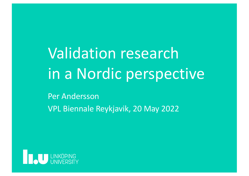Validation research in a Nordic perspective

Per Andersson VPL Biennale Reykjavik, 20 May 2022

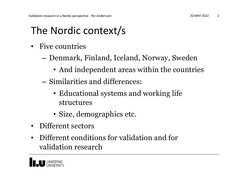#### The Nordic context/s

- Five countries
	- Denmark, Finland, Iceland, Norway, Sweden
		- And independent areas within the countries
	- Similarities and differences:
		- Educational systems and working life structures
		- Size, demographics etc.
- Different sectors
- Different conditions for validation and for validation research

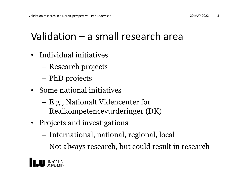#### Validation – a small research area

- Individual initiatives
	- Research projects
	- PhD projects
- Some national initiatives
	- E.g., Nationalt Videncenter for Realkompetencevurderinger (DK)
- Projects and investigations
	- International, national, regional, local
	- Not always research, but could result in research

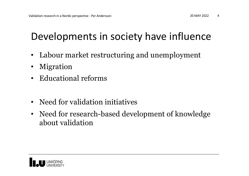#### Developments in society have influence

- Labour market restructuring and unemployment
- Migration
- Educational reforms
- Need for validation initiatives
- Need for research-based development of knowledge about validation

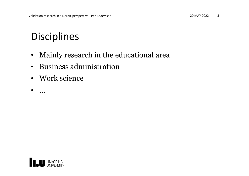## Disciplines

- Mainly research in the educational area
- Business administration
- Work science

 $\bullet$  …

LINKÖPING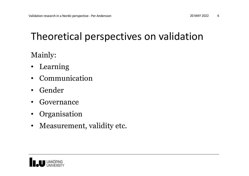### Theoretical perspectives on validation

Mainly:

- Learning
- Communication
- Gender
- Governance
- **Organisation**
- Measurement, validity etc.

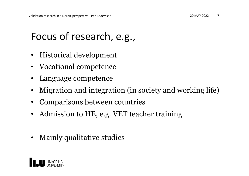## Focus of research, e.g.,

- Historical development
- Vocational competence
- Language competence
- Migration and integration (in society and working life)
- Comparisons between countries
- Admission to HE, e.g. VET teacher training
- Mainly qualitative studies

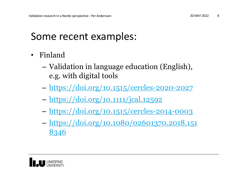#### Some recent examples:

- Finland
	- Validation in language education (English), e.g. with digital tools
	- [https://doi.org/10.1515/cercles-2020-20](https://doi.org/10.1515/cercles-2020-2027)27
	- [https://doi.org/10.1111/jcal.125](https://doi.org/10.1111/jcal.12592)92
	- [https://doi.org/10.1515/cercles-2014-00](https://doi.org/10.1515/cercles-2014-0003)03
	- [https://doi.org/10.1080/02601370.2018.](https://doi.org/10.1080/02601370.2018.1518346)151 8346

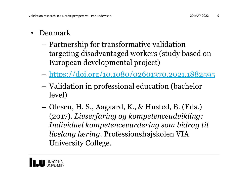- Denmark
	- Partnership for transformative validation targeting disadvantaged workers (study based on European developmental project)
	- [https://doi.org/10.1080/02601370.2021.18825](https://doi.org/10.1080/02601370.2021.1882595)95
	- Validation in professional education (bachelor level)
	- Olesen, H. S., Aagaard, K., & Husted, B. (Eds.) (2017). *Livserfaring og kompetenceudvikling: Individuel kompetencevurdering som bidrag til livslang læring*. Professionshøjskolen VIA University College.

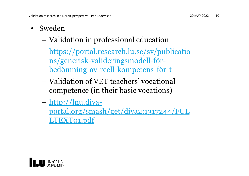- Sweden
	- Validation in professional education
	- [https://portal.research.lu.se/sv/publica](https://portal.research.lu.se/sv/publications/generisk-valideringsmodell-f%C3%B6r-bed%C3%B6mning-av-reell-kompetens-f%C3%B6r-t)tio ns/generisk-valideringsmodell-förbedömning-av-reell-kompetens-för-t
	- Validation of VET teachers' vocational competence (in their basic vocations)
	- http://lnu.diva-

[portal.org/smash/get/diva2:1317244/F](http://lnu.diva-portal.org/smash/get/diva2:1317244/FULLTEXT01.pdf)UL LTEXT01.pdf

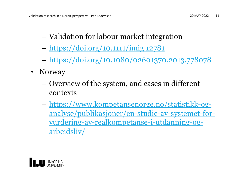- Validation for labour market integration
- [https://doi.org/10.1111/imig.12](https://doi.org/10.1111/imig.12781)781
- [https://doi.org/10.1080/02601370.2013.7780](https://doi.org/10.1080/02601370.2013.778078)78
- Norway
	- Overview of the system, and cases in different contexts
	- https://www.kompetansenorge.no/statistikk-og[analyse/publikasjoner/en-studie-av-systemet-f](https://www.kompetansenorge.no/statistikk-og-analyse/publikasjoner/en-studie-av-systemet-for-vurdering-av-realkompetanse-i-utdanning-og-arbeidsliv/)orvurdering-av-realkompetanse-i-utdanning-ogarbeidsliv/

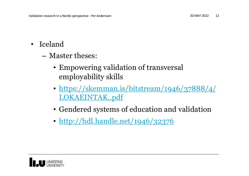- Iceland
	- Master theses:
		- Empowering validation of transversal employability skills
		- [https://skemman.is/bitstream/1946/37888](https://skemman.is/bitstream/1946/37888/4/LOKAEINTAK..pdf)/4/ LOKAEINTAK..pdf
		- Gendered systems of education and validation
		- [http://hdl.handle.net/1946/323](http://hdl.handle.net/1946/32376)76

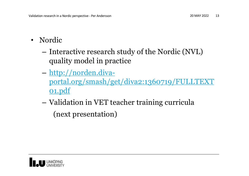- Nordic
	- Interactive research study of the Nordic (NVL) quality model in practice
	- http://norden.diva[portal.org/smash/get/diva2:1360719/FULLTE](http://norden.diva-portal.org/smash/get/diva2:1360719/FULLTEXT01.pdf)XT 01.pdf
	- Validation in VET teacher training curricula (next presentation)

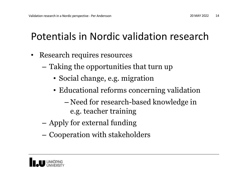# Potentials in Nordic validation research

- Research requires resources
	- Taking the opportunities that turn up
		- Social change, e.g. migration
		- Educational reforms concerning validation
			- Need for research-based knowledge in e.g. teacher training
	- Apply for external funding
	- Cooperation with stakeholders

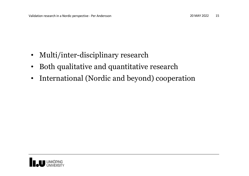- Multi/inter-disciplinary research
- Both qualitative and quantitative research
- International (Nordic and beyond) cooperation